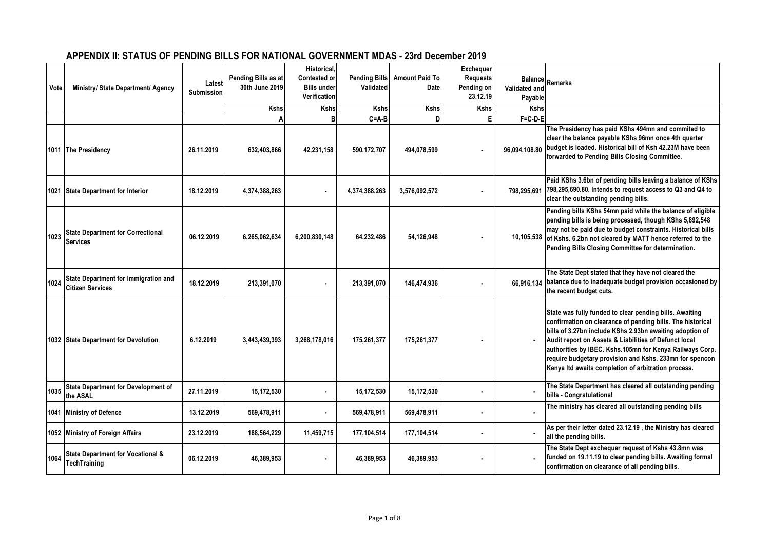## **APPENDIX II: STATUS OF PENDING BILLS FOR NATIONAL GOVERNMENT MDAS - 23rd December 2019**

| Vote | Ministry/ State Department/ Agency                                     | Latest<br><b>Submission</b> | Pending Bills as at<br>30th June 2019 | Historical,<br>Contested or<br><b>Bills under</b><br>Verification | <b>Pending Bills</b><br>Validated | <b>Amount Paid To</b><br>Date | <b>Exchequer</b><br><b>Requests</b><br>Pending on<br>23.12.19 | Validated and<br>Payable | Balance Remarks                                                                                                                                                                                                                                                                                                                                                                                                          |
|------|------------------------------------------------------------------------|-----------------------------|---------------------------------------|-------------------------------------------------------------------|-----------------------------------|-------------------------------|---------------------------------------------------------------|--------------------------|--------------------------------------------------------------------------------------------------------------------------------------------------------------------------------------------------------------------------------------------------------------------------------------------------------------------------------------------------------------------------------------------------------------------------|
|      |                                                                        |                             | <b>Kshs</b>                           | <b>Kshs</b>                                                       | <b>Kshs</b>                       | Kshs                          | Kshs                                                          | <b>Kshs</b>              |                                                                                                                                                                                                                                                                                                                                                                                                                          |
|      |                                                                        |                             | A                                     | R                                                                 | $C = A - B$                       | D                             |                                                               | $F = C - D - E$          |                                                                                                                                                                                                                                                                                                                                                                                                                          |
|      | 1011 The Presidency                                                    | 26.11.2019                  | 632,403,866                           | 42,231,158                                                        | 590,172,707                       | 494,078,599                   |                                                               | 96,094,108.80            | The Presidency has paid KShs 494mn and commited to<br>clear the balance payable KShs 96mn once 4th quarter<br>budget is loaded. Historical bill of Ksh 42.23M have been<br>forwarded to Pending Bills Closing Committee.                                                                                                                                                                                                 |
|      | 1021 State Department for Interior                                     | 18.12.2019                  | 4,374,388,263                         |                                                                   | 4,374,388,263                     | 3,576,092,572                 |                                                               | 798,295,691              | Paid KShs 3.6bn of pending bills leaving a balance of KShs<br>798,295,690.80. Intends to request access to Q3 and Q4 to<br>clear the outstanding pending bills.                                                                                                                                                                                                                                                          |
| 1023 | <b>State Department for Correctional</b><br><b>Services</b>            | 06.12.2019                  | 6,265,062,634                         | 6,200,830,148                                                     | 64,232,486                        | 54,126,948                    |                                                               |                          | Pending bills KShs 54mn paid while the balance of eligible<br>pending bills is being processed, though KShs 5,892,548<br>may not be paid due to budget constraints. Historical bills<br>10,105,538 of Kshs. 6.2bn not cleared by MATT hence referred to the<br>Pending Bills Closing Committee for determination.                                                                                                        |
| 1024 | <b>State Department for Immigration and</b><br><b>Citizen Services</b> | 18.12.2019                  | 213,391,070                           |                                                                   | 213,391,070                       | 146,474,936                   | ٠                                                             | 66.916.134               | The State Dept stated that they have not cleared the<br>balance due to inadequate budget provision occasioned by<br>the recent budget cuts.                                                                                                                                                                                                                                                                              |
|      | 1032 State Department for Devolution                                   | 6.12.2019                   | 3,443,439,393                         | 3,268,178,016                                                     | 175,261,377                       | 175,261,377                   |                                                               |                          | State was fully funded to clear pending bills. Awaiting<br>confirmation on clearance of pending bills. The historical<br>bills of 3.27bn include KShs 2.93bn awaiting adoption of<br>Audit report on Assets & Liabilities of Defunct local<br>authorities by IBEC. Kshs.105mn for Kenya Railways Corp.<br>require budgetary provision and Kshs. 233mn for spencon<br>Kenya Itd awaits completion of arbitration process. |
| 1035 | <b>State Department for Development of</b><br>the ASAL                 | 27.11.2019                  | 15,172,530                            | ٠                                                                 | 15,172,530                        | 15,172,530                    |                                                               |                          | The State Department has cleared all outstanding pending<br>bills - Congratulations!                                                                                                                                                                                                                                                                                                                                     |
|      | 1041 Ministry of Defence                                               | 13.12.2019                  | 569,478,911                           | $\blacksquare$                                                    | 569,478,911                       | 569,478,911                   |                                                               | $\bullet$                | The ministry has cleared all outstanding pending bills                                                                                                                                                                                                                                                                                                                                                                   |
|      | 1052 Ministry of Foreign Affairs                                       | 23.12.2019                  | 188,564,229                           | 11,459,715                                                        | 177,104,514                       | 177,104,514                   |                                                               |                          | As per their letter dated 23.12.19, the Ministry has cleared<br>all the pending bills.                                                                                                                                                                                                                                                                                                                                   |
| 1064 | <b>State Department for Vocational &amp;</b><br><b>TechTraining</b>    | 06.12.2019                  | 46,389,953                            |                                                                   | 46,389,953                        | 46,389,953                    |                                                               |                          | The State Dept exchequer request of Kshs 43.8mn was<br>funded on 19.11.19 to clear pending bills. Awaiting formal<br>confirmation on clearance of all pending bills.                                                                                                                                                                                                                                                     |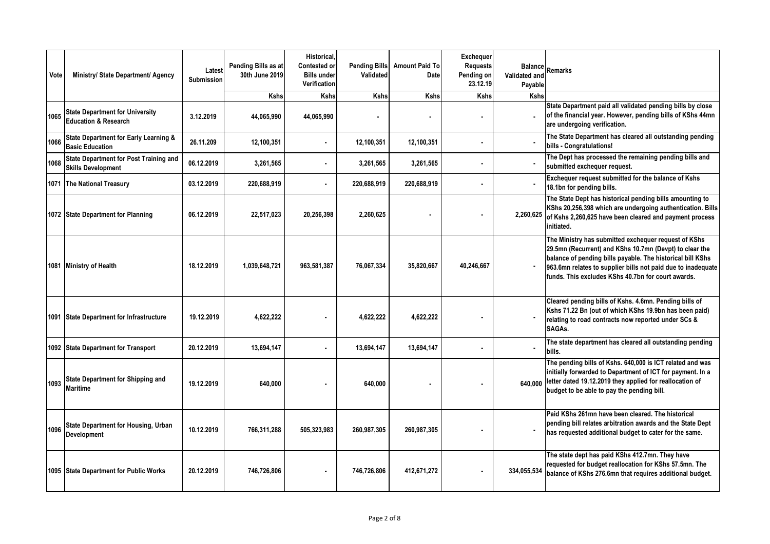| Vote | Ministry/ State Department/ Agency                                         | Latest<br>Submission | Pending Bills as at<br>30th June 2019 | Historical.<br>Contested or<br><b>Bills under</b><br><b>Verification</b> | <b>Pending Bills</b><br>Validated | <b>Amount Paid To</b><br>Date | Exchequer<br><b>Requests</b><br>Pending on<br>23.12.19 | Validated and<br>Payable | <b>Balance</b> Remarks                                                                                                                                                                                                                                                                              |
|------|----------------------------------------------------------------------------|----------------------|---------------------------------------|--------------------------------------------------------------------------|-----------------------------------|-------------------------------|--------------------------------------------------------|--------------------------|-----------------------------------------------------------------------------------------------------------------------------------------------------------------------------------------------------------------------------------------------------------------------------------------------------|
|      |                                                                            |                      | <b>Kshs</b>                           | <b>Kshs</b>                                                              | <b>Kshs</b>                       | <b>Kshs</b>                   | <b>Kshs</b>                                            | <b>Kshs</b>              |                                                                                                                                                                                                                                                                                                     |
| 1065 | <b>State Department for University</b><br><b>Education &amp; Research</b>  | 3.12.2019            | 44,065,990                            | 44,065,990                                                               |                                   |                               |                                                        | $\mathbf{r}$             | State Department paid all validated pending bills by close<br>of the financial year. However, pending bills of KShs 44mn<br>are undergoing verification.                                                                                                                                            |
| 1066 | <b>State Department for Early Learning &amp;</b><br><b>Basic Education</b> | 26.11.209            | 12,100,351                            |                                                                          | 12,100,351                        | 12,100,351                    | $\blacksquare$                                         |                          | The State Department has cleared all outstanding pending<br>bills - Congratulations!                                                                                                                                                                                                                |
| 1068 | <b>State Department for Post Training and</b><br><b>Skills Development</b> | 06.12.2019           | 3,261,565                             | $\blacksquare$                                                           | 3,261,565                         | 3,261,565                     | ٠                                                      |                          | The Dept has processed the remaining pending bills and<br>submitted exchequer request.                                                                                                                                                                                                              |
|      | 1071 The National Treasury                                                 | 03.12.2019           | 220,688,919                           |                                                                          | 220,688,919                       | 220,688,919                   | ٠                                                      |                          | Exchequer request submitted for the balance of Kshs<br>18.1bn for pending bills.                                                                                                                                                                                                                    |
|      | 1072 State Department for Planning                                         | 06.12.2019           | 22,517,023                            | 20,256,398                                                               | 2,260,625                         |                               |                                                        | 2,260,625                | The State Dept has historical pending bills amounting to<br>KShs 20,256,398 which are undergoing authentication. Bills<br>of Kshs 2,260,625 have been cleared and payment process<br>initiated.                                                                                                     |
|      | 1081 Ministry of Health                                                    | 18.12.2019           | 1,039,648,721                         | 963,581,387                                                              | 76,067,334                        | 35,820,667                    | 40,246,667                                             |                          | The Ministry has submitted exchequer request of KShs<br>29.5mn (Recurrent) and KShs 10.7mn (Devpt) to clear the<br>balance of pending bills payable. The historical bill KShs<br>963.6mn relates to supplier bills not paid due to inadequate<br>funds. This excludes KShs 40.7bn for court awards. |
|      | 1091 State Department for Infrastructure                                   | 19.12.2019           | 4,622,222                             |                                                                          | 4,622,222                         | 4,622,222                     |                                                        |                          | Cleared pending bills of Kshs. 4.6mn. Pending bills of<br>Kshs 71.22 Bn (out of which KShs 19.9bn has been paid)<br>relating to road contracts now reported under SCs &<br>SAGAs.                                                                                                                   |
|      | 1092 State Department for Transport                                        | 20.12.2019           | 13,694,147                            | $\blacksquare$                                                           | 13,694,147                        | 13,694,147                    |                                                        |                          | The state department has cleared all outstanding pending<br>bills.                                                                                                                                                                                                                                  |
| 1093 | State Department for Shipping and<br><b>Maritime</b>                       | 19.12.2019           | 640,000                               |                                                                          | 640,000                           |                               |                                                        | 640.000                  | The pending bills of Kshs. 640,000 is ICT related and was<br>initially forwarded to Department of ICT for payment. In a<br>letter dated 19.12.2019 they applied for reallocation of<br>budget to be able to pay the pending bill.                                                                   |
| 1096 | <b>State Department for Housing, Urban</b><br>Development                  | 10.12.2019           | 766,311,288                           | 505,323,983                                                              | 260,987,305                       | 260,987,305                   |                                                        |                          | Paid KShs 261mn have been cleared. The historical<br>pending bill relates arbitration awards and the State Dept<br>has requested additional budget to cater for the same.                                                                                                                           |
|      | 1095 State Department for Public Works                                     | 20.12.2019           | 746,726,806                           |                                                                          | 746,726,806                       | 412,671,272                   | $\blacksquare$                                         | 334,055,534              | The state dept has paid KShs 412.7mn. They have<br>requested for budget reallocation for KShs 57.5mn. The<br>balance of KShs 276.6mn that requires additional budget.                                                                                                                               |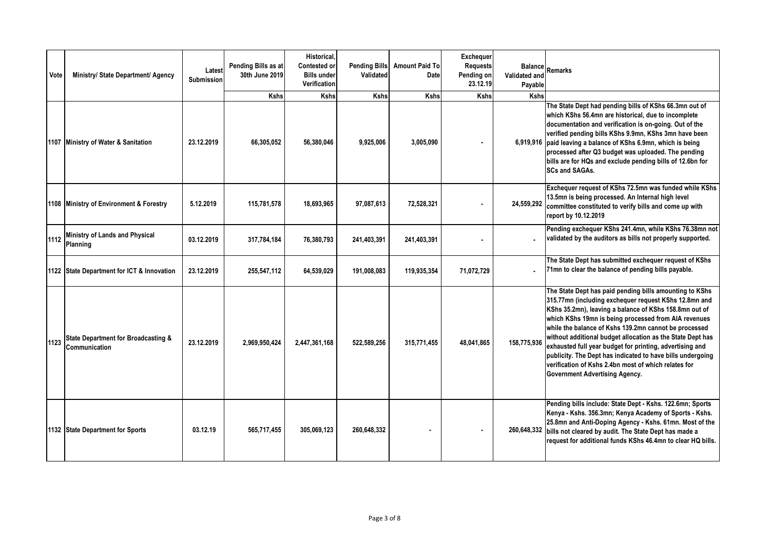| Vote | Ministry/ State Department/ Agency                              | Latest<br><b>Submission</b> | Pending Bills as at<br>30th June 2019<br><b>Kshs</b> | Historical.<br><b>Contested or</b><br><b>Bills under</b><br>Verification<br><b>Kshs</b> | <b>Pending Bills</b><br>Validated<br><b>Kshs</b> | <b>Amount Paid To</b><br>Date<br><b>Kshs</b> | Exchequer<br><b>Requests</b><br>Pending on<br>23.12.19<br>Kshs | Validated and<br>Payable<br><b>Kshs</b> | Balance Remarks                                                                                                                                                                                                                                                                                                                                                                                                                                                                                                                                                                      |
|------|-----------------------------------------------------------------|-----------------------------|------------------------------------------------------|-----------------------------------------------------------------------------------------|--------------------------------------------------|----------------------------------------------|----------------------------------------------------------------|-----------------------------------------|--------------------------------------------------------------------------------------------------------------------------------------------------------------------------------------------------------------------------------------------------------------------------------------------------------------------------------------------------------------------------------------------------------------------------------------------------------------------------------------------------------------------------------------------------------------------------------------|
|      | 1107 Ministry of Water & Sanitation                             | 23.12.2019                  | 66,305,052                                           | 56,380,046                                                                              | 9,925,006                                        | 3,005,090                                    |                                                                |                                         | The State Dept had pending bills of KShs 66.3mn out of<br>which KShs 56.4mn are historical, due to incomplete<br>documentation and verification is on-going. Out of the<br>verified pending bills KShs 9.9mn, KShs 3mn have been<br>6,919,916 paid leaving a balance of KShs 6.9mn, which is being<br>processed after Q3 budget was uploaded. The pending<br>bills are for HQs and exclude pending bills of 12.6bn for<br><b>SCs and SAGAs.</b>                                                                                                                                      |
|      | 1108 Ministry of Environment & Forestry                         | 5.12.2019                   | 115,781,578                                          | 18,693,965                                                                              | 97,087,613                                       | 72,528,321                                   | $\blacksquare$                                                 | 24,559,292                              | Exchequer request of KShs 72.5mn was funded while KShs<br>13.5mn is being processed. An Internal high level<br>committee constituted to verify bills and come up with<br>report by 10.12.2019                                                                                                                                                                                                                                                                                                                                                                                        |
| 1112 | Ministry of Lands and Physical<br>Planning                      | 03.12.2019                  | 317,784,184                                          | 76,380,793                                                                              | 241,403,391                                      | 241,403,391                                  | $\blacksquare$                                                 |                                         | Pending exchequer KShs 241.4mn, while KShs 76.38mn not<br>validated by the auditors as bills not properly supported.                                                                                                                                                                                                                                                                                                                                                                                                                                                                 |
|      | 1122 State Department for ICT & Innovation                      | 23.12.2019                  | 255,547,112                                          | 64,539,029                                                                              | 191,008,083                                      | 119,935,354                                  | 71,072,729                                                     |                                         | The State Dept has submitted exchequer request of KShs<br>71mn to clear the balance of pending bills payable.                                                                                                                                                                                                                                                                                                                                                                                                                                                                        |
| 1123 | <b>State Department for Broadcasting &amp;</b><br>Communication | 23.12.2019                  | 2.969.950.424                                        | 2,447,361,168                                                                           | 522,589,256                                      | 315,771,455                                  | 48,041,865                                                     | 158,775,936                             | The State Dept has paid pending bills amounting to KShs<br>315.77mn (including exchequer request KShs 12.8mn and<br>KShs 35.2mn), leaving a balance of KShs 158.8mn out of<br>which KShs 19mn is being processed from AIA revenues<br>while the balance of Kshs 139.2mn cannot be processed<br>without additional budget allocation as the State Dept has<br>exhausted full year budget for printing, advertising and<br>publicity. The Dept has indicated to have bills undergoing<br>verification of Kshs 2.4bn most of which relates for<br><b>Government Advertising Agency.</b> |
|      | 1132 State Department for Sports                                | 03.12.19                    | 565,717,455                                          | 305,069,123                                                                             | 260,648,332                                      |                                              |                                                                | 260,648,332                             | Pending bills include: State Dept - Kshs. 122.6mn; Sports<br>Kenya - Kshs. 356.3mn; Kenya Academy of Sports - Kshs.<br>25.8mn and Anti-Doping Agency - Kshs. 61mn. Most of the<br>bills not cleared by audit. The State Dept has made a<br>request for additional funds KShs 46.4mn to clear HQ bills.                                                                                                                                                                                                                                                                               |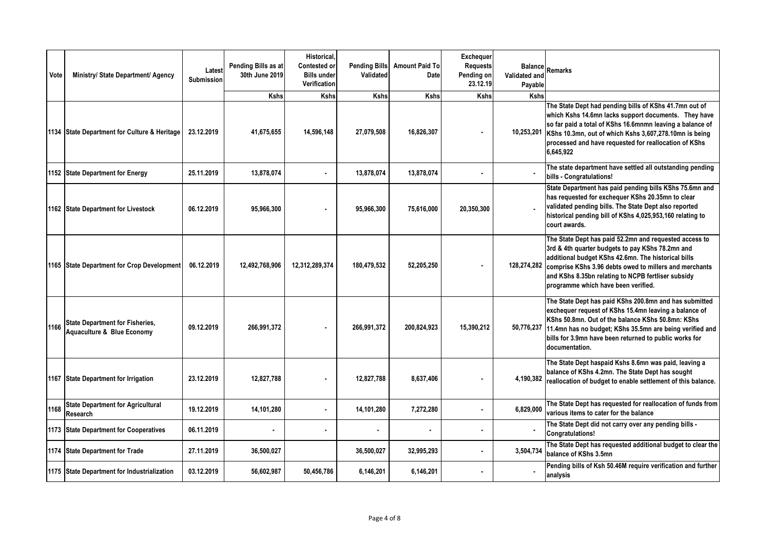| Vote | Ministry/ State Department/ Agency                                   | Latest<br><b>Submission</b> | Pending Bills as at<br>30th June 2019 | <b>Historical</b> .<br><b>Contested or</b><br><b>Bills under</b><br>Verification | <b>Pending Bills</b><br>Validated | <b>Amount Paid To</b><br>Date | <b>Exchequer</b><br><b>Requests</b><br>Pending on<br>23.12.19 | Validated and<br>Payable  | Balance Remarks                                                                                                                                                                                                                                                                                                          |
|------|----------------------------------------------------------------------|-----------------------------|---------------------------------------|----------------------------------------------------------------------------------|-----------------------------------|-------------------------------|---------------------------------------------------------------|---------------------------|--------------------------------------------------------------------------------------------------------------------------------------------------------------------------------------------------------------------------------------------------------------------------------------------------------------------------|
|      | 1134 State Department for Culture & Heritage                         | 23.12.2019                  | <b>Kshs</b><br>41,675,655             | <b>Kshs</b><br>14,596,148                                                        | <b>Kshs</b><br>27,079,508         | <b>Kshs</b><br>16,826,307     | <b>Kshs</b>                                                   | <b>Kshs</b><br>10,253,201 | The State Dept had pending bills of KShs 41.7mn out of<br>which Kshs 14.6mn lacks support documents. They have<br>so far paid a total of KShs 16.6mnmn leaving a balance of<br>KShs 10.3mn, out of which Kshs 3,607,278.10mn is being<br>processed and have requested for reallocation of KShs<br>6,645,922              |
|      | 1152 State Department for Energy                                     | 25.11.2019                  | 13,878,074                            |                                                                                  | 13,878,074                        | 13,878,074                    |                                                               |                           | The state department have settled all outstanding pending<br>bills - Congratulations!                                                                                                                                                                                                                                    |
|      | 1162 State Department for Livestock                                  | 06.12.2019                  | 95,966,300                            |                                                                                  | 95,966,300                        | 75,616,000                    | 20,350,300                                                    |                           | State Department has paid pending bills KShs 75.6mn and<br>has requested for exchequer KShs 20.35mn to clear<br>validated pending bills. The State Dept also reported<br>historical pending bill of KShs 4,025,953,160 relating to<br>court awards.                                                                      |
|      | 1165 State Department for Crop Development                           | 06.12.2019                  | 12,492,768,906                        | 12,312,289,374                                                                   | 180,479,532                       | 52,205,250                    |                                                               | 128,274,282               | The State Dept has paid 52.2mn and requested access to<br>3rd & 4th quarter budgets to pay KShs 78.2mn and<br>additional budget KShs 42.6mn. The historical bills<br>comprise KShs 3.96 debts owed to millers and merchants<br>and KShs 8.35bn relating to NCPB fertliser subsidy<br>programme which have been verified. |
| 1166 | <b>State Department for Fisheries,</b><br>Aquaculture & Blue Economy | 09.12.2019                  | 266,991,372                           |                                                                                  | 266,991,372                       | 200,824,923                   | 15,390,212                                                    | 50,776,237                | The State Dept has paid KShs 200.8mn and has submitted<br>exchequer request of KShs 15.4mn leaving a balance of<br>KShs 50.8mn. Out of the balance KShs 50.8mn: KShs<br>11.4mn has no budget; KShs 35.5mn are being verified and<br>bills for 3.9mn have been returned to public works for<br>documentation.             |
|      | 1167 State Department for Irrigation                                 | 23.12.2019                  | 12,827,788                            |                                                                                  | 12,827,788                        | 8,637,406                     |                                                               | 4,190,382                 | The State Dept haspaid Kshs 8.6mn was paid, leaving a<br>balance of KShs 4.2mn. The State Dept has sought<br>reallocation of budget to enable settlement of this balance.                                                                                                                                                |
| 1168 | <b>State Department for Agricultural</b><br>Research                 | 19.12.2019                  | 14,101,280                            | $\blacksquare$                                                                   | 14,101,280                        | 7,272,280                     | $\blacksquare$                                                | 6,829,000                 | The State Dept has requested for reallocation of funds from<br>various items to cater for the balance                                                                                                                                                                                                                    |
|      | 1173 State Department for Cooperatives                               | 06.11.2019                  | $\blacksquare$                        |                                                                                  |                                   |                               |                                                               |                           | The State Dept did not carry over any pending bills -<br>Congratulations!                                                                                                                                                                                                                                                |
| 1174 | <b>State Department for Trade</b>                                    | 27.11.2019                  | 36,500,027                            |                                                                                  | 36,500,027                        | 32,995,293                    | ٠                                                             | 3,504,734                 | The State Dept has requested additional budget to clear the<br>balance of KShs 3.5mn                                                                                                                                                                                                                                     |
|      | 1175 State Department for Industrialization                          | 03.12.2019                  | 56,602,987                            | 50,456,786                                                                       | 6,146,201                         | 6,146,201                     |                                                               |                           | Pending bills of Ksh 50.46M require verification and further<br>analysis                                                                                                                                                                                                                                                 |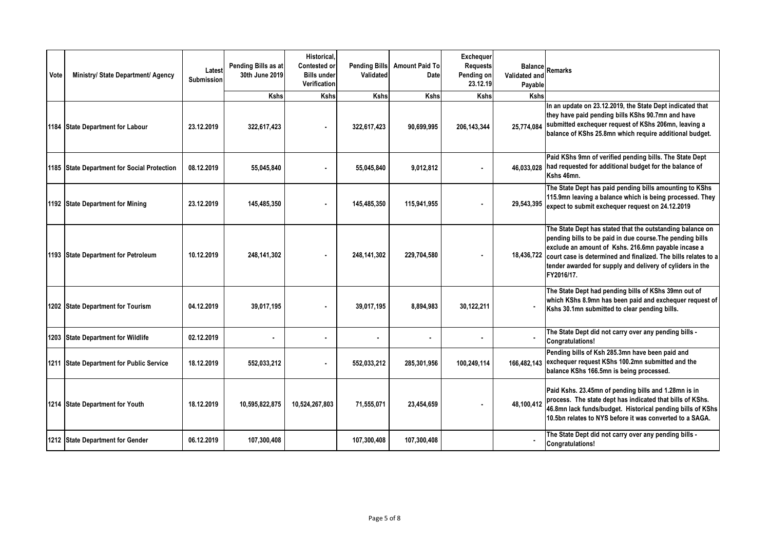| Vote | Ministry/ State Department/ Agency          | Latest<br><b>Submission</b> | Pending Bills as at<br>30th June 2019 | Historical,<br>Contested or<br><b>Bills under</b><br>Verification | <b>Pending Bills</b><br>Validated | <b>Amount Paid To</b><br>Date | Exchequer<br><b>Requests</b><br>Pending on<br>23.12.19 | Validated and<br>Payable | <b>Balance</b> Remarks                                                                                                                                                                                                                                                                                                     |
|------|---------------------------------------------|-----------------------------|---------------------------------------|-------------------------------------------------------------------|-----------------------------------|-------------------------------|--------------------------------------------------------|--------------------------|----------------------------------------------------------------------------------------------------------------------------------------------------------------------------------------------------------------------------------------------------------------------------------------------------------------------------|
|      |                                             |                             | Kshs                                  | Kshs                                                              | Kshs                              | Kshs                          | <b>Kshs</b>                                            | Kshs                     |                                                                                                                                                                                                                                                                                                                            |
|      | 1184 State Department for Labour            | 23.12.2019                  | 322,617,423                           |                                                                   | 322,617,423                       | 90,699,995                    | 206, 143, 344                                          | 25,774,084               | In an update on 23.12.2019, the State Dept indicated that<br>they have paid pending bills KShs 90.7mn and have<br>submitted exchequer request of KShs 206mn, leaving a<br>balance of KShs 25.8mn which require additional budget.                                                                                          |
|      | 1185 State Department for Social Protection | 08.12.2019                  | 55,045,840                            |                                                                   | 55,045,840                        | 9,012,812                     | ٠                                                      | 46.033.028               | Paid KShs 9mn of verified pending bills. The State Dept<br>had requested for additional budget for the balance of<br>Kshs 46mn.                                                                                                                                                                                            |
|      | 1192 State Department for Mining            | 23.12.2019                  | 145,485,350                           |                                                                   | 145.485.350                       | 115.941.955                   |                                                        | 29,543,395               | The State Dept has paid pending bills amounting to KShs<br>115.9mn leaving a balance which is being processed. They<br>expect to submit exchequer request on 24.12.2019                                                                                                                                                    |
|      | 1193 State Department for Petroleum         | 10.12.2019                  | 248.141.302                           |                                                                   | 248.141.302                       | 229,704,580                   |                                                        | 18,436,722               | The State Dept has stated that the outstanding balance on<br>pending bills to be paid in due course. The pending bills<br>exclude an amount of Kshs. 216.6mn payable incase a<br>court case is determined and finalized. The bills relates to a<br>tender awarded for supply and delivery of cyliders in the<br>FY2016/17. |
|      | 1202 State Department for Tourism           | 04.12.2019                  | 39,017,195                            |                                                                   | 39,017,195                        | 8,894,983                     | 30,122,211                                             |                          | The State Dept had pending bills of KShs 39mn out of<br>which KShs 8.9mn has been paid and exchequer request of<br>Kshs 30.1mn submitted to clear pending bills.                                                                                                                                                           |
|      | 1203 State Department for Wildlife          | 02.12.2019                  | $\blacksquare$                        | $\blacksquare$                                                    | ٠                                 |                               |                                                        | $\blacksquare$           | The State Dept did not carry over any pending bills -<br>Congratulations!                                                                                                                                                                                                                                                  |
|      | 1211 State Department for Public Service    | 18.12.2019                  | 552,033,212                           |                                                                   | 552,033,212                       | 285,301,956                   | 100,249,114                                            | 166.482.143              | Pending bills of Ksh 285.3mn have been paid and<br>exchequer request KShs 100.2mn submitted and the<br>balance KShs 166.5mn is being processed.                                                                                                                                                                            |
|      | 1214 State Department for Youth             | 18.12.2019                  | 10,595,822,875                        | 10,524,267,803                                                    | 71,555,071                        | 23,454,659                    | ٠                                                      | 48,100,412               | Paid Kshs. 23.45mn of pending bills and 1.28mn is in<br>process. The state dept has indicated that bills of KShs.<br>46.8mn lack funds/budget. Historical pending bills of KShs<br>10.5bn relates to NYS before it was converted to a SAGA.                                                                                |
|      | 1212 State Department for Gender            | 06.12.2019                  | 107,300,408                           |                                                                   | 107,300,408                       | 107,300,408                   |                                                        |                          | The State Dept did not carry over any pending bills -<br><b>Congratulations!</b>                                                                                                                                                                                                                                           |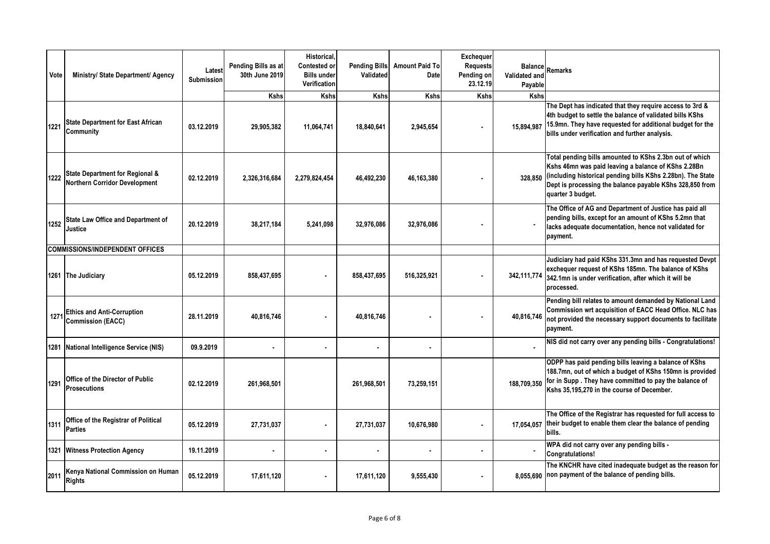| Vote | Ministry/ State Department/ Agency                                      | Latest<br>Submission | Pending Bills as at<br>30th June 2019 | Historical,<br>Contested or<br><b>Bills under</b><br>Verification | <b>Pending Bills</b><br>Validated | <b>Amount Paid To</b><br>Date | Exchequer<br><b>Requests</b><br>Pending on<br>23.12.19 | Validated and<br>Payable | <b>Balance</b> Remarks                                                                                                                                                                                                                                         |
|------|-------------------------------------------------------------------------|----------------------|---------------------------------------|-------------------------------------------------------------------|-----------------------------------|-------------------------------|--------------------------------------------------------|--------------------------|----------------------------------------------------------------------------------------------------------------------------------------------------------------------------------------------------------------------------------------------------------------|
|      |                                                                         |                      | <b>Kshs</b>                           | <b>Kshs</b>                                                       | <b>Kshs</b>                       | <b>Kshs</b>                   | <b>Kshs</b>                                            | <b>Kshs</b>              |                                                                                                                                                                                                                                                                |
| 1221 | <b>State Department for East African</b><br>Community                   | 03.12.2019           | 29,905,382                            | 11,064,741                                                        | 18,840,641                        | 2,945,654                     | $\blacksquare$                                         | 15.894.987               | The Dept has indicated that they require access to 3rd &<br>4th budget to settle the balance of validated bills KShs<br>15.9mn. They have requested for additional budget for the<br>bills under verification and further analysis.                            |
| 1222 | State Department for Regional &<br><b>Northern Corridor Development</b> | 02.12.2019           | 2,326,316,684                         | 2,279,824,454                                                     | 46,492,230                        | 46,163,380                    |                                                        | 328.850                  | Total pending bills amounted to KShs 2.3bn out of which<br>Kshs 46mn was paid leaving a balance of KShs 2.28Bn<br>(including historical pending bills KShs 2.28bn). The State<br>Dept is processing the balance payable KShs 328,850 from<br>quarter 3 budget. |
| 1252 | <b>State Law Office and Department of</b><br>Justice                    | 20.12.2019           | 38,217,184                            | 5,241,098                                                         | 32,976,086                        | 32,976,086                    |                                                        |                          | The Office of AG and Department of Justice has paid all<br>pending bills, except for an amount of KShs 5.2mn that<br>lacks adequate documentation, hence not validated for<br>payment.                                                                         |
|      | <b>COMMISSIONS/INDEPENDENT OFFICES</b>                                  |                      |                                       |                                                                   |                                   |                               |                                                        |                          |                                                                                                                                                                                                                                                                |
|      | 1261 The Judiciary                                                      | 05.12.2019           | 858,437,695                           |                                                                   | 858,437,695                       | 516,325,921                   |                                                        | 342, 111, 774            | Judiciary had paid KShs 331.3mn and has requested Devpt<br>exchequer request of KShs 185mn. The balance of KShs<br>342.1mn is under verification, after which it will be<br>processed.                                                                         |
| 1271 | <b>Ethics and Anti-Corruption</b><br><b>Commission (EACC)</b>           | 28.11.2019           | 40,816,746                            |                                                                   | 40,816,746                        |                               |                                                        | 40,816,746               | Pending bill relates to amount demanded by National Land<br>Commission wrt acquisition of EACC Head Office. NLC has<br>not provided the necessary support documents to facilitate<br>payment.                                                                  |
|      | 1281 National Intelligence Service (NIS)                                | 09.9.2019            | $\bullet$                             | $\blacksquare$                                                    | $\blacksquare$                    | $\blacksquare$                |                                                        |                          | NIS did not carry over any pending bills - Congratulations!                                                                                                                                                                                                    |
| 1291 | Office of the Director of Public<br><b>Prosecutions</b>                 | 02.12.2019           | 261,968,501                           |                                                                   | 261,968,501                       | 73,259,151                    |                                                        | 188.709.350              | ODPP has paid pending bills leaving a balance of KShs<br>188.7mn, out of which a budget of KShs 150mn is provided<br>for in Supp. They have committed to pay the balance of<br>Kshs 35,195,270 in the course of December.                                      |
| 1311 | Office of the Registrar of Political<br><b>Parties</b>                  | 05.12.2019           | 27,731,037                            |                                                                   | 27,731,037                        | 10,676,980                    | ٠                                                      | 17,054,057               | The Office of the Registrar has requested for full access to<br>their budget to enable them clear the balance of pending<br>bills.                                                                                                                             |
|      | 1321 Witness Protection Agency                                          | 19.11.2019           |                                       | $\blacksquare$                                                    | $\blacksquare$                    |                               | $\blacksquare$                                         |                          | WPA did not carry over any pending bills -<br><b>Congratulations!</b>                                                                                                                                                                                          |
| 2011 | Kenya National Commission on Human<br><b>Rights</b>                     | 05.12.2019           | 17,611,120                            |                                                                   | 17.611.120                        | 9,555,430                     |                                                        | 8.055.690                | The KNCHR have cited inadequate budget as the reason for<br>non payment of the balance of pending bills.                                                                                                                                                       |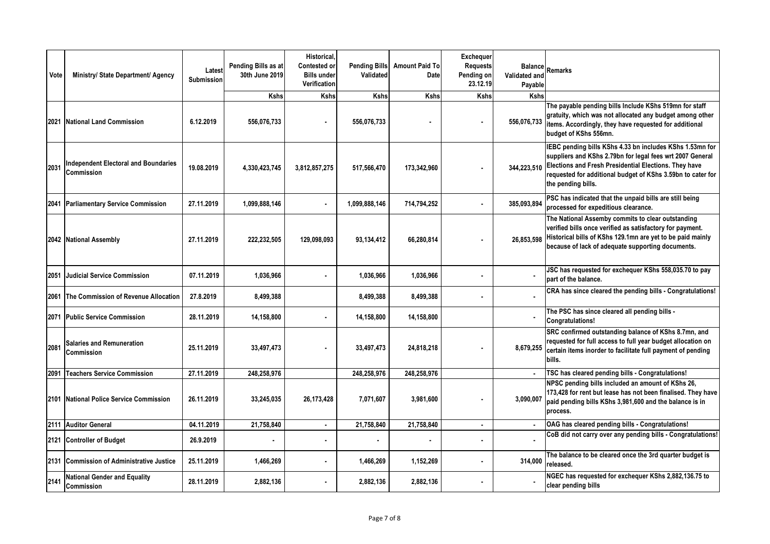| Vote | Ministry/ State Department/ Agency                        | Latest<br>Submission | Pending Bills as at<br>30th June 2019 | Historical.<br>Contested or<br><b>Bills under</b><br>Verification | <b>Pending Bills</b><br>Validated | <b>Amount Paid To</b><br>Date | Exchequer<br><b>Requests</b><br>Pending on<br>23.12.19 | Validated and<br>Payable | Balance Remarks                                                                                                                                                                                                                                                     |
|------|-----------------------------------------------------------|----------------------|---------------------------------------|-------------------------------------------------------------------|-----------------------------------|-------------------------------|--------------------------------------------------------|--------------------------|---------------------------------------------------------------------------------------------------------------------------------------------------------------------------------------------------------------------------------------------------------------------|
|      |                                                           |                      | <b>Kshs</b>                           | <b>Kshs</b>                                                       | <b>Kshs</b>                       | <b>Kshs</b>                   | Kshs                                                   | <b>Kshs</b>              |                                                                                                                                                                                                                                                                     |
|      | 2021 National Land Commission                             | 6.12.2019            | 556,076,733                           |                                                                   | 556,076,733                       |                               |                                                        | 556,076,733              | The payable pending bills Include KShs 519mn for staff<br>gratuity, which was not allocated any budget among other<br>items. Accordingly, they have requested for additional<br>budget of KShs 556mn.                                                               |
| 2031 | <b>Independent Electoral and Boundaries</b><br>Commission | 19.08.2019           | 4,330,423,745                         | 3,812,857,275                                                     | 517,566,470                       | 173,342,960                   |                                                        | 344,223,510              | IEBC pending bills KShs 4.33 bn includes KShs 1.53mn for<br>suppliers and KShs 2.79bn for legal fees wrt 2007 General<br>Elections and Fresh Presidential Elections. They have<br>requested for additional budget of KShs 3.59bn to cater for<br>the pending bills. |
|      | 2041 Parliamentary Service Commission                     | 27.11.2019           | 1,099,888,146                         |                                                                   | 1,099,888,146                     | 714,794,252                   | $\blacksquare$                                         | 385,093,894              | PSC has indicated that the unpaid bills are still being<br>processed for expeditious clearance.                                                                                                                                                                     |
|      | 2042 National Assembly                                    | 27.11.2019           | 222,232,505                           | 129,098,093                                                       | 93,134,412                        | 66,280,814                    |                                                        | 26,853,598               | The National Assemby commits to clear outstanding<br>verified bills once verified as satisfactory for payment.<br>Historical bills of KShs 129.1mn are yet to be paid mainly<br>because of lack of adequate supporting documents.                                   |
| 2051 | <b>Judicial Service Commission</b>                        | 07.11.2019           | 1,036,966                             | $\blacksquare$                                                    | 1,036,966                         | 1,036,966                     | $\blacksquare$                                         |                          | JSC has requested for exchequer KShs 558,035.70 to pay<br>part of the balance.                                                                                                                                                                                      |
| 2061 | The Commission of Revenue Allocation                      | 27.8.2019            | 8,499,388                             |                                                                   | 8,499,388                         | 8,499,388                     |                                                        |                          | CRA has since cleared the pending bills - Congratulations!                                                                                                                                                                                                          |
| 2071 | <b>Public Service Commission</b>                          | 28.11.2019           | 14,158,800                            | ä,                                                                | 14,158,800                        | 14,158,800                    |                                                        |                          | The PSC has since cleared all pending bills -<br>Congratulations!                                                                                                                                                                                                   |
| 2081 | <b>Salaries and Remuneration</b><br><b>Commission</b>     | 25.11.2019           | 33,497,473                            |                                                                   | 33,497,473                        | 24,818,218                    |                                                        | 8,679,255                | SRC confirmed outstanding balance of KShs 8.7mn, and<br>requested for full access to full year budget allocation on<br>certain items inorder to facilitate full payment of pending<br>bills.                                                                        |
|      | 2091 Teachers Service Commission                          | 27.11.2019           | 248,258,976                           |                                                                   | 248,258,976                       | 248,258,976                   |                                                        |                          | TSC has cleared pending bills - Congratulations!                                                                                                                                                                                                                    |
|      | 2101 National Police Service Commission                   | 26.11.2019           | 33,245,035                            | 26,173,428                                                        | 7,071,607                         | 3,981,600                     |                                                        | 3,090,007                | NPSC pending bills included an amount of KShs 26,<br>173,428 for rent but lease has not been finalised. They have<br>paid pending bills KShs 3,981,600 and the balance is in<br>process.                                                                            |
|      | 2111 Auditor General                                      | 04.11.2019           | 21,758,840                            | $\bullet$                                                         | 21,758,840                        | 21,758,840                    | ٠                                                      | $\bullet$                | OAG has cleared pending bills - Congratulations!                                                                                                                                                                                                                    |
|      | 2121 Controller of Budget                                 | 26.9.2019            |                                       | $\blacksquare$                                                    |                                   |                               |                                                        | $\blacksquare$           | CoB did not carry over any pending bills - Congratulations!                                                                                                                                                                                                         |
|      | 2131 Commission of Administrative Justice                 | 25.11.2019           | 1,466,269                             | ä,                                                                | 1,466,269                         | 1,152,269                     |                                                        | 314,000                  | The balance to be cleared once the 3rd quarter budget is<br>released.                                                                                                                                                                                               |
| 2141 | <b>National Gender and Equality</b><br>Commission         | 28.11.2019           | 2,882,136                             |                                                                   | 2,882,136                         | 2,882,136                     |                                                        |                          | NGEC has requested for exchequer KShs 2,882,136.75 to<br>clear pending bills                                                                                                                                                                                        |